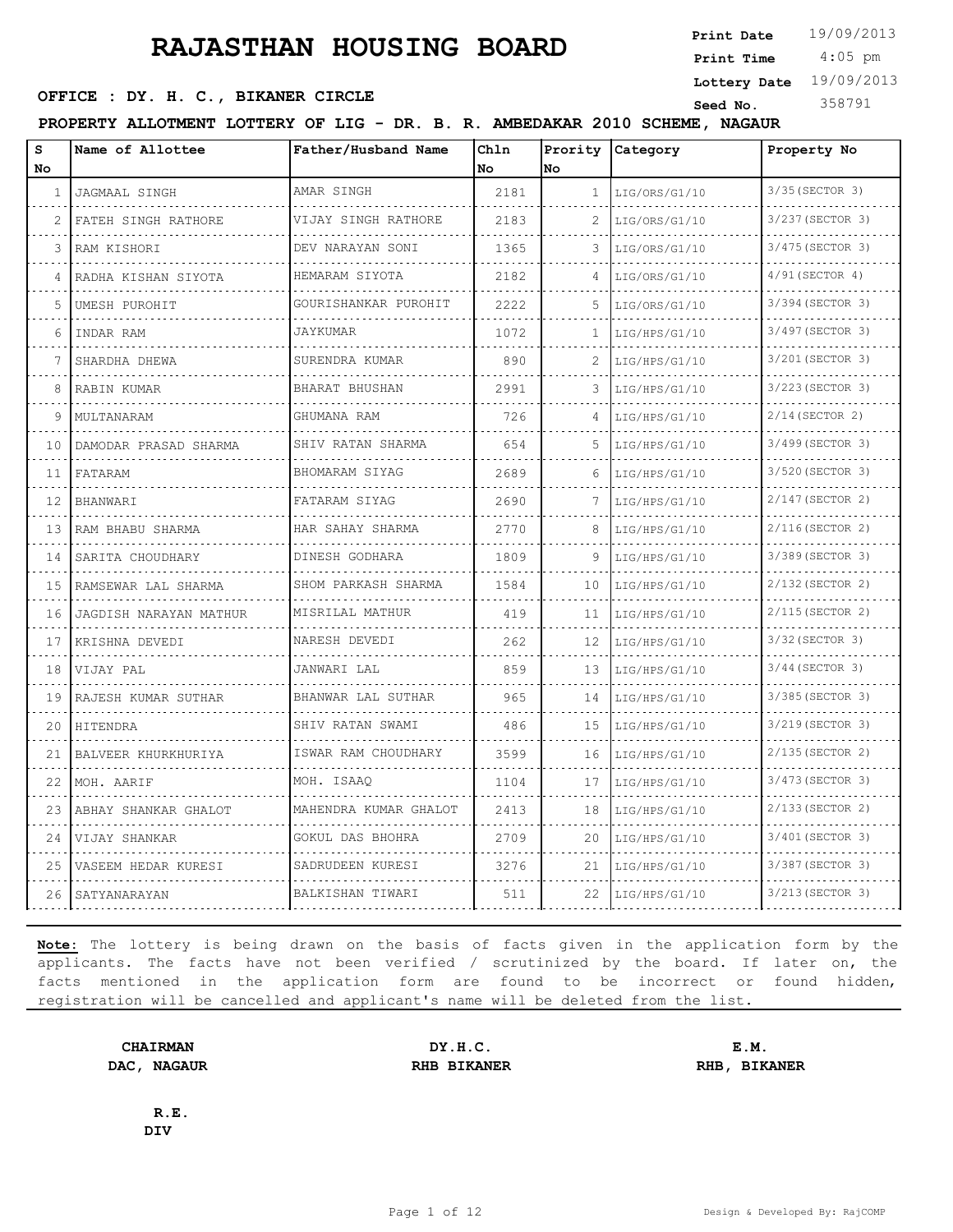4:05 pm **Print Date**  $19/09/2013$ **Print Time**

#### **SEED OFFICE : DY. H. C., BIKANER CIRCLE Seed No.** 358791

**Lottery Date** 19/09/2013

**PROPERTY ALLOTMENT LOTTERY OF LIG - DR. B. R. AMBEDAKAR 2010 SCHEME, NAGAUR**

| S  | Name of Allottee         | Father/Husband Name      | Chln<br>No. | Prority      | Category      | Property No           |
|----|--------------------------|--------------------------|-------------|--------------|---------------|-----------------------|
| No |                          |                          |             | No           |               |                       |
| -1 | JAGMAAL SINGH            | AMAR SINGH               | 2181        | $\mathbf{1}$ | LIG/ORS/G1/10 | 3/35 (SECTOR 3)       |
| 2  | FATEH SINGH RATHORE      | VIJAY SINGH RATHORE      | 2183        | 2            | LIG/ORS/G1/10 | 3/237 (SECTOR 3)      |
| 3  | RAM KISHORI              | DEV NARAYAN SONI         | 1365        | 3            | LIG/ORS/G1/10 | 3/475 (SECTOR 3)      |
| 4  | RADHA KISHAN SIYOTA      | HEMARAM SIYOTA           | 2182        |              | LIG/ORS/G1/10 | $4/91$ (SECTOR 4)     |
| 5  | UMESH PUROHIT            | GOURISHANKAR PUROHIT     | 2222        | 5            | LIG/ORS/G1/10 | 3/394 (SECTOR 3)      |
| 6  | INDAR RAM                | JAYKUMAR                 | 1072        | 1            | LIG/HPS/G1/10 | 3/497 (SECTOR 3)      |
| 7  | SHARDHA DHEWA            | SURENDRA KUMAR<br>.      | 890         |              | LIG/HPS/G1/10 | 3/201 (SECTOR 3)<br>. |
| 8  | RABIN KUMAR              | BHARAT BHUSHAN           | 2991        | 3            | LIG/HPS/G1/10 | 3/223 (SECTOR 3)      |
| 9  | MULTANARAM               | GHUMANA RAM              | 726         | 4            | LIG/HPS/G1/10 | $2/14$ (SECTOR 2)     |
| 10 | DAMODAR PRASAD SHARMA    | SHIV RATAN SHARMA        | 654         | 5            | LIG/HPS/G1/10 | 3/499 (SECTOR 3)      |
| 11 | FATARAM                  | BHOMARAM SIYAG           | 2689        | 6            | LIG/HPS/G1/10 | 3/520 (SECTOR 3)      |
| 12 | <b>BHANWARI</b>          | FATARAM SIYAG            | 2690        | 7            | LIG/HPS/G1/10 | 2/147 (SECTOR 2)      |
| 13 | RAM BHABU SHARMA         | HAR SAHAY SHARMA         | 2770        | 8            | LIG/HPS/G1/10 | 2/116(SECTOR 2)       |
| 14 | SARITA CHOUDHARY         | DINESH GODHARA           | 1809        | 9            | LIG/HPS/G1/10 | 3/389 (SECTOR 3)      |
| 15 | RAMSEWAR LAL SHARMA<br>. | SHOM PARKASH SHARMA      | 1584        | 10           | LIG/HPS/G1/10 | 2/132 (SECTOR 2)      |
| 16 | JAGDISH NARAYAN MATHUR   | MISRILAL MATHUR          | 419         | 11           | LIG/HPS/G1/10 | 2/115 (SECTOR 2)      |
| 17 | KRISHNA DEVEDI           | NARESH DEVEDI            | 262         | 12           | LIG/HPS/G1/10 | 3/32 (SECTOR 3)       |
| 18 | VIJAY PAL                | JANWARI LAL              | 859         | 13           | LIG/HPS/G1/10 | 3/44 (SECTOR 3)       |
| 19 | RAJESH KUMAR SUTHAR      | BHANWAR LAL SUTHAR       | 965         | 14           | LIG/HPS/G1/10 | 3/385 (SECTOR 3)      |
| 20 | HITENDRA                 | SHIV RATAN SWAMI         | 486         | 15           | LIG/HPS/G1/10 | 3/219 (SECTOR 3)      |
| 21 | BALVEER KHURKHURIYA      | ISWAR RAM CHOUDHARY<br>. | 3599        | 16           | LIG/HPS/G1/10 | 2/135(SECTOR 2)       |
| 22 | MOH. AARIF               | MOH. ISAAO               | 1104        | 17           | LIG/HPS/G1/10 | 3/473 (SECTOR 3)      |
| 23 | ABHAY SHANKAR GHALOT     | MAHENDRA KUMAR GHALOT    | 2413        | 18           | LIG/HPS/G1/10 | 2/133 (SECTOR 2)      |
| 24 | VIJAY SHANKAR            | GOKUL DAS BHOHRA         | 2709        | 20           | LIG/HPS/G1/10 | 3/401 (SECTOR 3)      |
| 25 | VASEEM HEDAR KURESI      | SADRUDEEN KURESI         | 3276        | 21           | LIG/HPS/G1/10 | 3/387 (SECTOR 3)      |
| 26 | SATYANARAYAN             | BALKISHAN TIWARI         | 511         | 22           | LIG/HPS/G1/10 | 3/213 (SECTOR 3)      |

**Note:** The lottery is being drawn on the basis of facts given in the application form by the applicants. The facts have not been verified / scrutinized by the board. If later on, the facts mentioned in the application form are found to be incorrect or found hidden, registration will be cancelled and applicant's name will be deleted from the list.

**CHAIRMAN DY.H.C. E.M. DAC, NAGAUR RHB BIKANER RHB, BIKANER**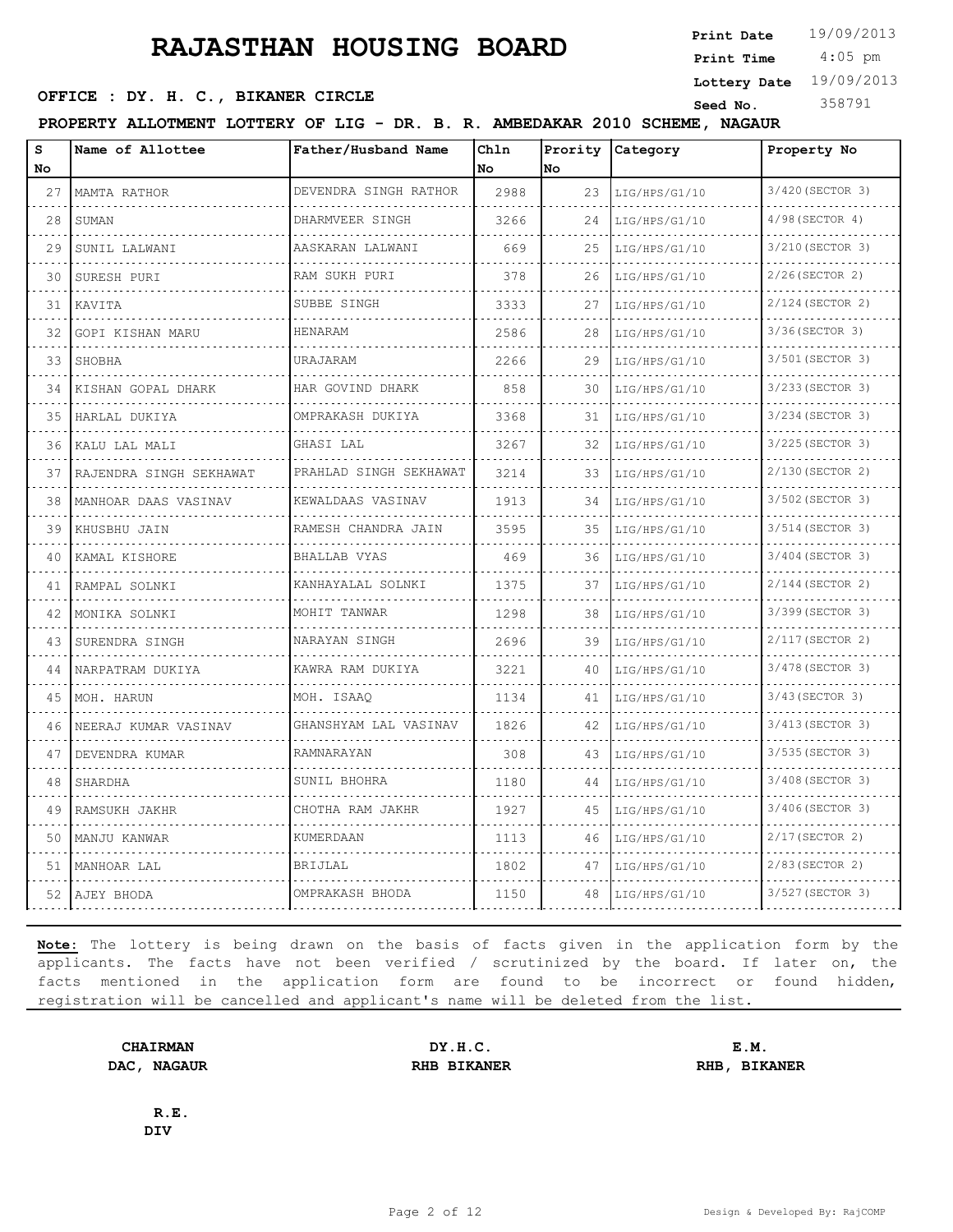4:05 pm **Print Date**  $19/09/2013$ **Print Time**

#### **SEED OFFICE : DY. H. C., BIKANER CIRCLE Seed No.** 358791

**Lottery Date** 19/09/2013

**PROPERTY ALLOTMENT LOTTERY OF LIG - DR. B. R. AMBEDAKAR 2010 SCHEME, NAGAUR**

| s<br>No | Name of Allottee          | Father/Husband Name                          | Chln<br>l No | Prority<br>No. | Category      | Property No       |
|---------|---------------------------|----------------------------------------------|--------------|----------------|---------------|-------------------|
| 27      | MAMTA RATHOR              | DEVENDRA SINGH RATHOR                        | 2988         | 23             | LIG/HPS/G1/10 | 3/420 (SECTOR 3)  |
| 28      | SUMAN                     | DHARMVEER SINGH                              | 3266         | 24             | LIG/HPS/G1/10 | $4/98$ (SECTOR 4) |
| 29      | SUNIL LALWANI             | AASKARAN LALWANI                             | 669          | 25             | LIG/HPS/G1/10 | 3/210 (SECTOR 3)  |
| 30      | SURESH PURI               | RAM SUKH PURI<br>a dia dia dia dia 4         | 378          | 26             | LIG/HPS/G1/10 | $2/26$ (SECTOR 2) |
| 31      | KAVITA                    | SUBBE SINGH                                  | 3333         | 27             | LIG/HPS/G1/10 | 2/124(SECTOR 2)   |
| 32      | GOPI KISHAN MARU          | HENARAM                                      | 2586         | 28             | LIG/HPS/G1/10 | 3/36 (SECTOR 3)   |
| 33      | SHOBHA                    | URAJARAM                                     | 2266         | 29             | LIG/HPS/G1/10 | 3/501 (SECTOR 3)  |
| 34      | KISHAN GOPAL DHARK        | HAR GOVIND DHARK<br><u>o o o o o o o o o</u> | 858          | 30             | LIG/HPS/G1/10 | 3/233 (SECTOR 3)  |
| 35      | HARLAL DUKIYA             | OMPRAKASH DUKIYA                             | 3368         | 31             | LIG/HPS/G1/10 | 3/234 (SECTOR 3)  |
| 36      | KALU LAL MALI             | GHASI LAL                                    | 3267         | 32             | LIG/HPS/G1/10 | 3/225 (SECTOR 3)  |
| 37      | RAJENDRA SINGH SEKHAWAT   | PRAHLAD SINGH SEKHAWAT                       | 3214         | 33             | LIG/HPS/G1/10 | 2/130 (SECTOR 2)  |
| 38      | MANHOAR DAAS VASINAV<br>. | KEWALDAAS VASINAV                            | 1913         | 34             | LIG/HPS/G1/10 | 3/502 (SECTOR 3)  |
| 39      | KHUSBHU JAIN              | RAMESH CHANDRA JAIN                          | 3595         | 35             | LIG/HPS/G1/10 | 3/514 (SECTOR 3)  |
| 40      | KAMAL KISHORE             | BHALLAB VYAS                                 | 469          | 36             | LIG/HPS/G1/10 | 3/404 (SECTOR 3)  |
| 41      | RAMPAL SOLNKI             | KANHAYALAL SOLNKI                            | 1375         | 37             | LIG/HPS/G1/10 | 2/144 (SECTOR 2)  |
| 42      | MONIKA SOLNKI             | MOHIT TANWAR                                 | 1298         | 38             | LIG/HPS/G1/10 | 3/399 (SECTOR 3)  |
| 43      | SURENDRA SINGH            | NARAYAN SINGH                                | 2696         | 39             | LIG/HPS/G1/10 | 2/117(SECTOR 2)   |
| 44      | NARPATRAM DUKIYA          | KAWRA RAM DUKIYA                             | 3221         | 40             | LIG/HPS/G1/10 | 3/478 (SECTOR 3)  |
| 45      | MOH. HARUN                | MOH. ISAAQ                                   | 1134         | 41             | LIG/HPS/G1/10 | 3/43 (SECTOR 3)   |
| 46      | NEERAJ KUMAR VASINAV      | GHANSHYAM LAL VASINAV                        | 1826         | 42             | LIG/HPS/G1/10 | 3/413 (SECTOR 3)  |
| 47      | DEVENDRA KUMAR            | RAMNARAYAN                                   | 308          | 43             | LIG/HPS/G1/10 | 3/535 (SECTOR 3)  |
| 48      | SHARDHA                   | SUNIL BHOHRA                                 | 1180         | 44             | LIG/HPS/G1/10 | 3/408 (SECTOR 3)  |
| 49      | RAMSUKH JAKHR             | CHOTHA RAM JAKHR                             | 1927         | 45             | LIG/HPS/G1/10 | 3/406 (SECTOR 3)  |
| 50      | MANJU KANWAR              | <b>KUMERDAAN</b>                             | 1113         | 46             | LIG/HPS/G1/10 | $2/17$ (SECTOR 2) |
| 51      | MANHOAR LAL               | BRIJLAL                                      | 1802         | 47             | LIG/HPS/G1/10 | 2/83 (SECTOR 2)   |
| 52      | AJEY BHODA                | OMPRAKASH BHODA                              | 1150         | 48             | LIG/HPS/G1/10 | 3/527 (SECTOR 3)  |

**Note:** The lottery is being drawn on the basis of facts given in the application form by the applicants. The facts have not been verified / scrutinized by the board. If later on, the facts mentioned in the application form are found to be incorrect or found hidden, registration will be cancelled and applicant's name will be deleted from the list.

**CHAIRMAN DY.H.C. E.M. DAC, NAGAUR RHB BIKANER RHB, BIKANER**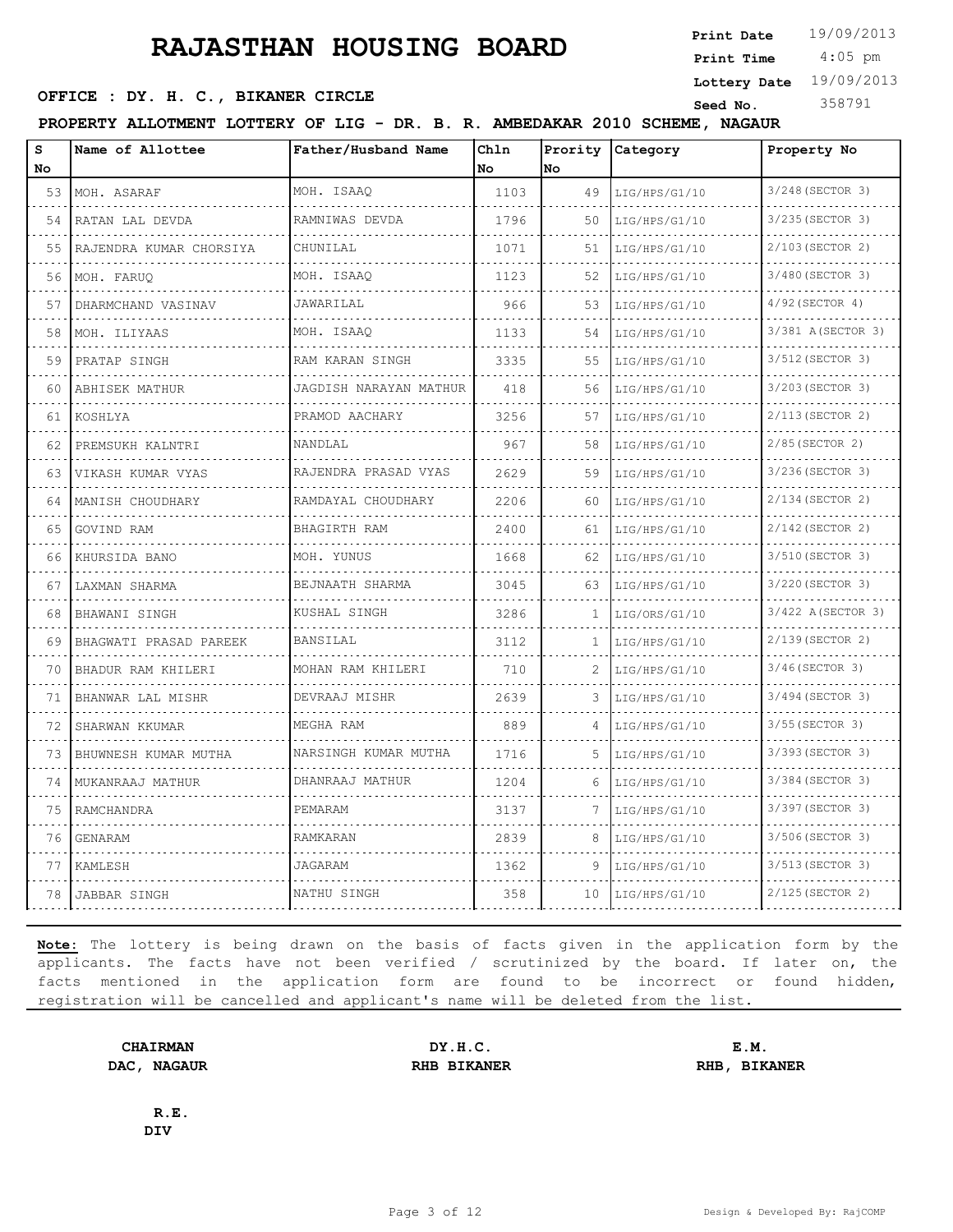4:05 pm **Print Date**  $19/09/2013$ **Print Time**

**Lottery Date** 19/09/2013

#### **SEED OFFICE : DY. H. C., BIKANER CIRCLE Seed No.** 358791

**PROPERTY ALLOTMENT LOTTERY OF LIG - DR. B. R. AMBEDAKAR 2010 SCHEME, NAGAUR**

| s<br>No | Name of Allottee         | Father/Husband Name    | Ch1n<br>Nο | No | Prority Category | Property No                  |
|---------|--------------------------|------------------------|------------|----|------------------|------------------------------|
| 53      | MOH. ASARAF              | MOH. ISAAQ             | 1103       | 49 | LIG/HPS/G1/10    | 3/248 (SECTOR 3)             |
| 54      | RATAN LAL DEVDA          | RAMNIWAS DEVDA         | 1796       | 50 | LIG/HPS/G1/10    | 3/235(SECTOR 3)              |
| 55      | RAJENDRA KUMAR CHORSIYA  | CHUNILAL               | 1071       | 51 | LIG/HPS/G1/10    | 2/103(SECTOR 2)              |
| 56      | MOH. FARUQ               | MOH. ISAAQ             | 1123       | 52 | LIG/HPS/G1/10    | .<br>3/480(SECTOR 3)         |
| 57      | DHARMCHAND VASINAV       | JAWARILAL              | 966        | 53 | LIG/HPS/G1/10    | 4/92 (SECTOR 4)              |
| 58      | MOH. ILIYAAS             | MOH. ISAAO             | 1133       | 54 | LIG/HPS/G1/10    | 3/381 A(SECTOR 3)            |
| 59      | <u>.</u><br>PRATAP SINGH | RAM KARAN SINGH        | 3335       | 55 | LIG/HPS/G1/10    | <u>.</u><br>3/512 (SECTOR 3) |
| 60      | ABHISEK MATHUR           | JAGDISH NARAYAN MATHUR | 418        | 56 | LIG/HPS/G1/10    | 3/203(SECTOR 3)              |
| 61      | KOSHLYA                  | PRAMOD AACHARY         | 3256       | 57 | LIG/HPS/G1/10    | 2/113(SECTOR 2)              |
| 62      | PREMSUKH KALNTRI         | NANDLAL                | 967        | 58 | LIG/HPS/G1/10    | .<br>2/85(SECTOR 2)          |
| 63      | VIKASH KUMAR VYAS        | RAJENDRA PRASAD VYAS   | 2629       | 59 | LIG/HPS/G1/10    | 3/236(SECTOR 3)              |
| 64      | MANISH CHOUDHARY         | RAMDAYAL CHOUDHARY     | 2206       | 60 | LIG/HPS/G1/10    | 2/134(SECTOR 2)              |
| 65      | GOVIND RAM               | .<br>BHAGIRTH RAM      | 2400       | 61 | LIG/HPS/G1/10    | .<br>2/142(SECTOR 2)         |
| 66      | KHURSIDA BANO            | MOH. YUNUS             | 1668       | 62 | LIG/HPS/G1/10    | 3/510 (SECTOR 3)             |
| 67      | LAXMAN SHARMA            | BEJNAATH SHARMA        | 3045       | 63 | LIG/HPS/G1/10    | 3/220 (SECTOR 3)             |
| 68      | BHAWANI SINGH            | KUSHAL SINGH           | 3286       | 1  | LIG/ORS/G1/10    | .<br>3/422 A (SECTOR 3)      |
| 69      | BHAGWATI PRASAD PAREEK   | <b>BANSILAL</b>        | 3112       | 1  | LIG/HPS/G1/10    | 2/139 (SECTOR 2)             |
| 70      | BHADUR RAM KHILERI       | MOHAN RAM KHILERI      | 710        | 2  | LIG/HPS/G1/10    | 3/46(SECTOR 3)               |
| 71      | BHANWAR LAL MISHR        | DEVRAAJ MISHR          | 2639       | 3  | LIG/HPS/G1/10    | 3/494(SECTOR 3)              |
| 72      | SHARWAN KKUMAR           | MEGHA RAM              | 889        | 4  | LIG/HPS/G1/10    | 3/55(SECTOR 3)               |
| 73      | BHUWNESH KUMAR MUTHA     | NARSINGH KUMAR MUTHA   | 1716       | 5  | LIG/HPS/G1/10    | 3/393 (SECTOR 3)             |
| 74      | MUKANRAAJ MATHUR         | DHANRAAJ MATHUR        | 1204       | 6  | LIG/HPS/G1/10    | 3/384(SECTOR 3)              |
| 75      | RAMCHANDRA               | PEMARAM                | 3137       | 7  | LIG/HPS/G1/10    | 3/397 (SECTOR 3)             |
| 76      | <b>GENARAM</b>           | RAMKARAN               | 2839       | 8  | LIG/HPS/G1/10    | 3/506(SECTOR 3)              |
| 77      | KAMLESH                  | <b>JAGARAM</b>         | 1362       | 9  | LIG/HPS/G1/10    | 3/513(SECTOR 3)              |
| 78      | JABBAR SINGH             | NATHU SINGH            | 358        | 10 | LIG/HPS/G1/10    | 2/125 (SECTOR 2)             |

**Note:** The lottery is being drawn on the basis of facts given in the application form by the applicants. The facts have not been verified / scrutinized by the board. If later on, the facts mentioned in the application form are found to be incorrect or found hidden, registration will be cancelled and applicant's name will be deleted from the list.

**DAC, NAGAUR RHB BIKANER RHB, BIKANER**

**CHAIRMAN DY.H.C. E.M.**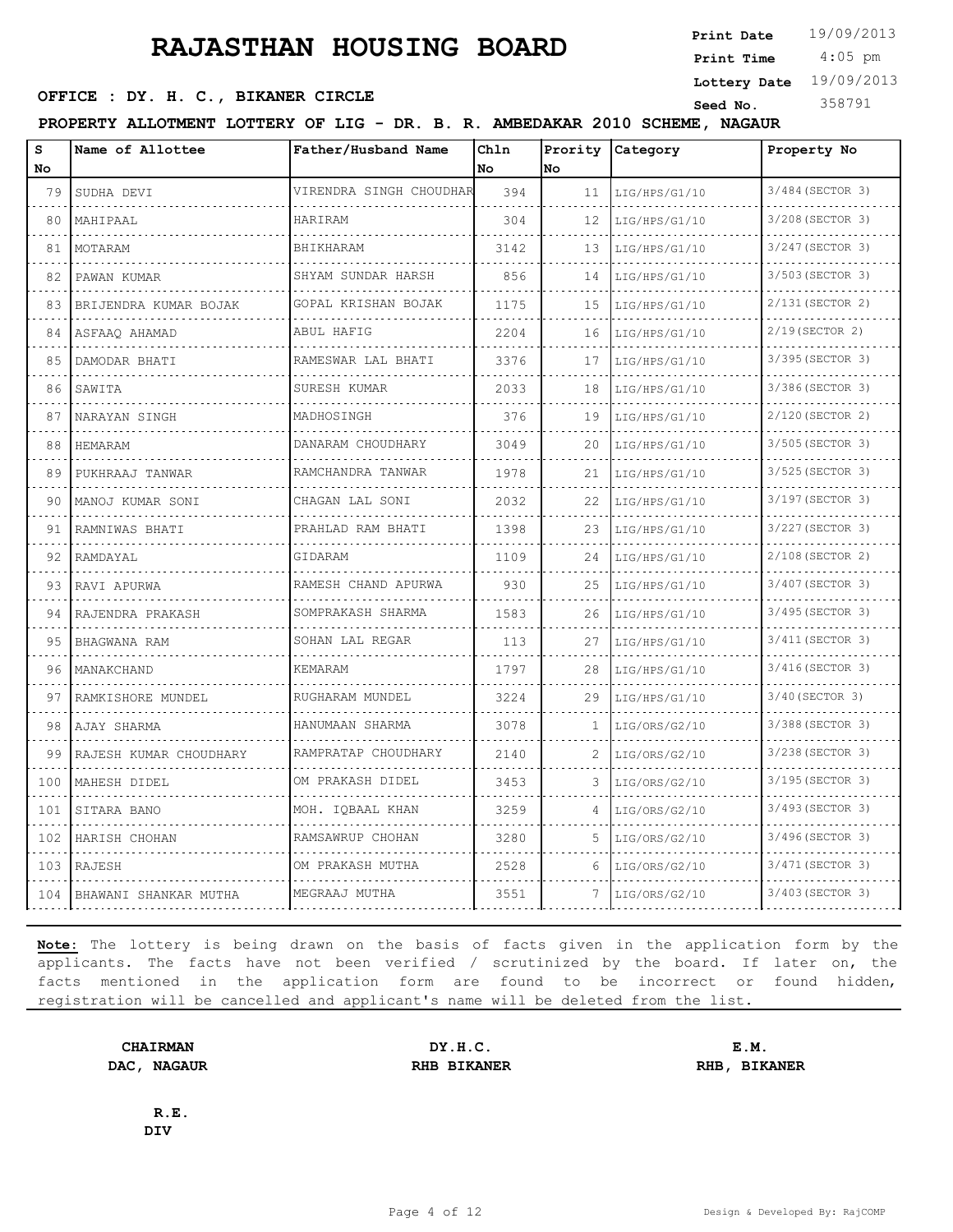4:05 pm **Print Date**  $19/09/2013$ **Print Time**

**Lottery Date** 19/09/2013

#### **SEED OFFICE : DY. H. C., BIKANER CIRCLE Seed No.** 358791

**PROPERTY ALLOTMENT LOTTERY OF LIG - DR. B. R. AMBEDAKAR 2010 SCHEME, NAGAUR**

| s   | Name of Allottee          | Father/Husband Name                 | Ch1n | Prority | Category      | Property No           |
|-----|---------------------------|-------------------------------------|------|---------|---------------|-----------------------|
| No  |                           |                                     | No.  | No.     |               |                       |
| 79  | SUDHA DEVI                | VIRENDRA SINGH CHOUDHAR             | 394  | 11      | LIG/HPS/G1/10 | 3/484 (SECTOR 3)      |
| 80  | MAHIPAAL                  | <b>HARTRAM</b>                      | 304  | 12      | LIG/HPS/G1/10 | 3/208 (SECTOR 3)      |
| 81  | MOTARAM                   | <b>BHIKHARAM</b>                    | 3142 | 13      | LIG/HPS/G1/10 | 3/247 (SECTOR 3)      |
| 82  | PAWAN KUMAR               | SHYAM SUNDAR HARSH                  | 856  | 14      | LIG/HPS/G1/10 | 3/503 (SECTOR 3)      |
| 83  | BRIJENDRA KUMAR BOJAK     | GOPAL KRISHAN BOJAK                 | 1175 | 15      | LIG/HPS/G1/10 | 2/131 (SECTOR 2)      |
| 84  | ASFAAO AHAMAD             | ABUL HAFIG                          | 2204 | 16      | LIG/HPS/G1/10 | 2/19(SECTOR 2)        |
| 85  | DAMODAR BHATI             | RAMESWAR LAL BHATI<br>.             | 3376 | 17      | LIG/HPS/G1/10 | 3/395 (SECTOR 3)<br>. |
| 86  | SAWITA                    | SURESH KUMAR                        | 2033 | 18      | LIG/HPS/G1/10 | 3/386 (SECTOR 3)      |
| 87  | NARAYAN SINGH             | MADHOSINGH                          | 376  | 19      | LIG/HPS/G1/10 | 2/120 (SECTOR 2)      |
| 88  | HEMARAM                   | DANARAM CHOUDHARY<br>.              | 3049 | 20      | LIG/HPS/G1/10 | 3/505 (SECTOR 3)<br>. |
| 89  | PUKHRAAJ TANWAR           | RAMCHANDRA TANWAR<br>.              | 1978 | 21      | LIG/HPS/G1/10 | 3/525 (SECTOR 3)      |
| 90  | MANOJ KUMAR SONI          | CHAGAN LAL SONI                     | 2032 | 22      | LIG/HPS/G1/10 | 3/197 (SECTOR 3)      |
| 91  | RAMNIWAS BHATI            | PRAHLAD RAM BHATI                   | 1398 | 23      | LIG/HPS/G1/10 | 3/227 (SECTOR 3)      |
| 92  | RAMDAYAL                  | GIDARAM                             | 1109 | 24      | LIG/HPS/G1/10 | 2/108 (SECTOR 2)      |
| 93  | RAVI APURWA               | RAMESH CHAND APURWA                 | 930  | 25      | LIG/HPS/G1/10 | 3/407 (SECTOR 3)      |
| 94  | RAJENDRA PRAKASH          | SOMPRAKASH SHARMA                   | 1583 | 26      | LIG/HPS/G1/10 | 3/495 (SECTOR 3)<br>. |
| 95  | BHAGWANA RAM              | SOHAN LAL REGAR                     | 113  | 27      | LIG/HPS/G1/10 | 3/411 (SECTOR 3)      |
| 96  | MANAKCHAND                | KEMARAM                             | 1797 | 28      | LIG/HPS/G1/10 | 3/416(SECTOR 3)       |
| 97  | RAMKISHORE MUNDEL         | RUGHARAM MUNDEL                     | 3224 | 29      | LIG/HPS/G1/10 | 3/40 (SECTOR 3)       |
| 98  | AJAY SHARMA               | HANUMAAN SHARMA                     | 3078 | 1       | LIG/ORS/G2/10 | 3/388 (SECTOR 3)      |
| 99  | RAJESH KUMAR CHOUDHARY    | RAMPRATAP CHOUDHARY<br>.            | 2140 | 2       | LIG/ORS/G2/10 | 3/238 (SECTOR 3)      |
| 100 | MAHESH DIDEL              | OM PRAKASH DIDEL                    | 3453 | 3       | LIG/ORS/G2/10 | 3/195 (SECTOR 3)      |
| 101 | SITARA BANO               | MOH. IQBAAL KHAN                    | 3259 | 4       | LIG/ORS/G2/10 | 3/493 (SECTOR 3)      |
| 102 | HARISH CHOHAN             | RAMSAWRUP CHOHAN<br>dia a dia a dia | 3280 | 5       | LIG/ORS/G2/10 | 3/496(SECTOR 3)       |
| 103 | RAJESH                    | OM PRAKASH MUTHA                    | 2528 | 6       | LIG/ORS/G2/10 | 3/471 (SECTOR 3)      |
|     | 104 BHAWANI SHANKAR MUTHA | MEGRAAJ MUTHA                       | 3551 | 7       | LIG/ORS/G2/10 | 3/403 (SECTOR 3)      |

**Note:** The lottery is being drawn on the basis of facts given in the application form by the applicants. The facts have not been verified / scrutinized by the board. If later on, the facts mentioned in the application form are found to be incorrect or found hidden, registration will be cancelled and applicant's name will be deleted from the list.

**CHAIRMAN DY.H.C. E.M. DAC, NAGAUR RHB BIKANER RHB, BIKANER**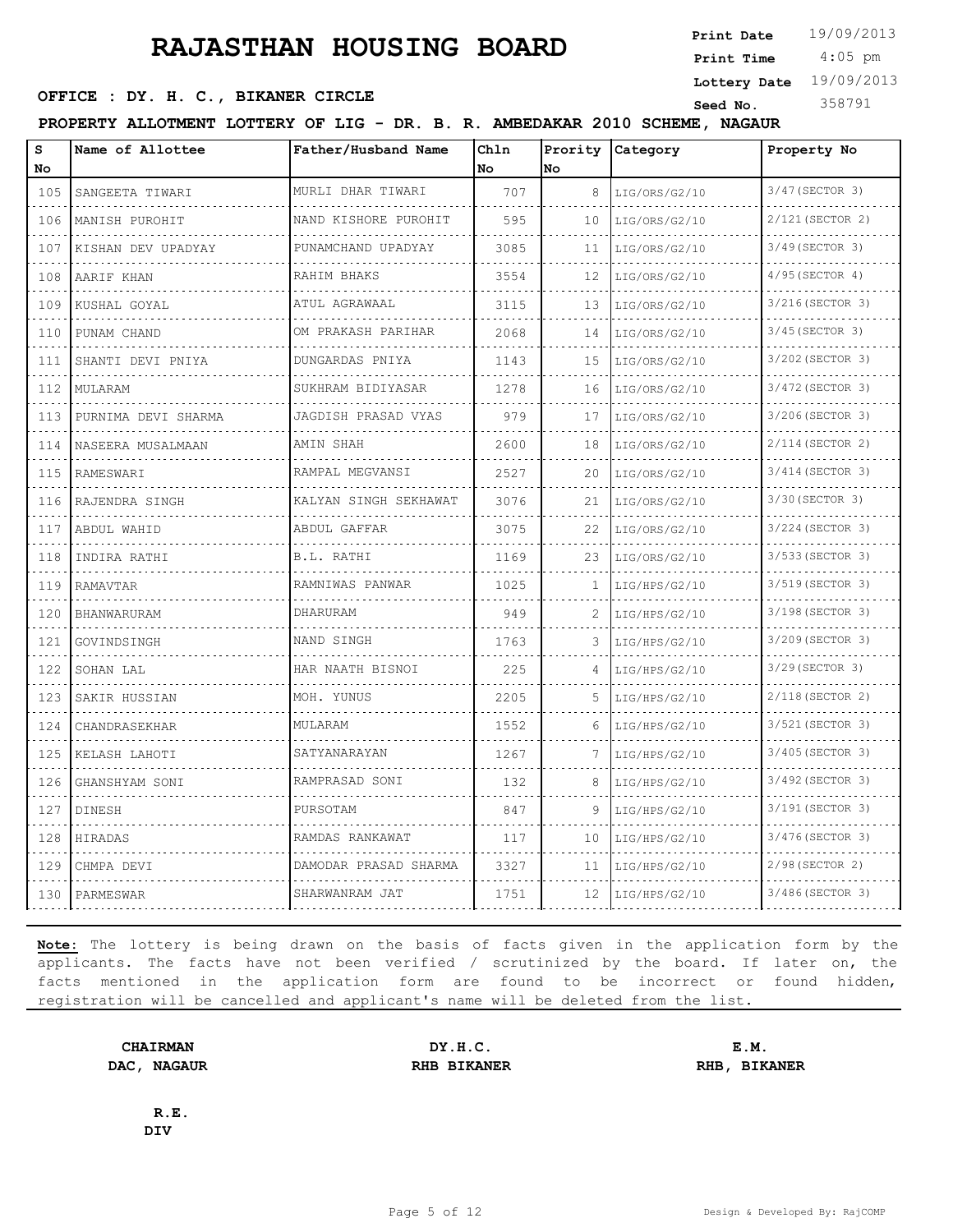4:05 pm **Print Date**  $19/09/2013$ **Print Time**

**Lottery Date** 19/09/2013

#### **SEED OFFICE : DY. H. C., BIKANER CIRCLE Seed No.** 358791

**PROPERTY ALLOTMENT LOTTERY OF LIG - DR. B. R. AMBEDAKAR 2010 SCHEME, NAGAUR**

| S<br>No.                                                                                                                                                  | Name of Allottee    | Father/Husband Name                | Chln<br>No | Prority<br>No | Category      | Property No           |
|-----------------------------------------------------------------------------------------------------------------------------------------------------------|---------------------|------------------------------------|------------|---------------|---------------|-----------------------|
| 105                                                                                                                                                       | SANGEETA TIWARI     | MURLI DHAR TIWARI                  | 707        | 8             | LIG/ORS/G2/10 | 3/47 (SECTOR 3)       |
| .<br>106                                                                                                                                                  | MANISH PUROHIT      | NAND KISHORE PUROHIT               | 595        | 10            | LIG/ORS/G2/10 | 2/121 (SECTOR 2)      |
| 107                                                                                                                                                       | KISHAN DEV UPADYAY  | PUNAMCHAND UPADYAY                 | 3085       | 11            | LIG/ORS/G2/10 | 3/49 (SECTOR 3)       |
| 108                                                                                                                                                       | AARIF KHAN          | RAHIM BHAKS<br>dia dia dia dia dia | 3554       | 12            | LIG/ORS/G2/10 | 4/95 (SECTOR 4)       |
| .<br>109                                                                                                                                                  | .<br>KUSHAL GOYAL   | ATUL AGRAWAAL                      | 3115       | 13            | LIG/ORS/G2/10 | 3/216(SECTOR 3)       |
| 110                                                                                                                                                       | PUNAM CHAND         | OM PRAKASH PARIHAR                 | 2068       | 14            | LIG/ORS/G2/10 | 3/45 (SECTOR 3)       |
| 111                                                                                                                                                       | SHANTI DEVI PNIYA   | DUNGARDAS PNIYA                    | 1143       | 15            | LIG/ORS/G2/10 | 3/202 (SECTOR 3)      |
| 112                                                                                                                                                       | MULARAM             | .<br>SUKHRAM BIDIYASAR             | 1278       | 16            | LIG/ORS/G2/10 | 3/472 (SECTOR 3)      |
| 113                                                                                                                                                       | PURNIMA DEVI SHARMA | JAGDISH PRASAD VYAS                | 979        | 17            | LIG/ORS/G2/10 | 3/206(SECTOR 3)       |
| 114                                                                                                                                                       | NASEERA MUSALMAAN   | AMIN SHAH                          | 2600       | 18            | LIG/ORS/G2/10 | 2/114 (SECTOR 2)      |
| .<br>115                                                                                                                                                  | RAMESWARI           | RAMPAL MEGVANSI                    | 2527       | 20            | LIG/ORS/G2/10 | .<br>3/414 (SECTOR 3) |
| 116                                                                                                                                                       | RAJENDRA SINGH      | KALYAN SINGH SEKHAWAT              | 3076       | 21            | LIG/ORS/G2/10 | 3/30 (SECTOR 3)       |
| 117                                                                                                                                                       | ABDUL WAHID         | .<br>ABDUL GAFFAR                  | 3075       | 22            | LIG/ORS/G2/10 | 3/224 (SECTOR 3)      |
| 118                                                                                                                                                       | INDIRA RATHI        | B.L. RATHI                         | 1169       | 23            | LIG/ORS/G2/10 | 3/533 (SECTOR 3)      |
| $\mathcal{L}_{\mathcal{A}}\left( \mathcal{L}_{\mathcal{A}}\right) \left( \mathcal{L}_{\mathcal{A}}\right) \left( \mathcal{L}_{\mathcal{A}}\right)$<br>119 | RAMAVTAR            | RAMNIWAS PANWAR                    | 1025       | 1.            | LIG/HPS/G2/10 | 3/519 (SECTOR 3)      |
| .<br>120                                                                                                                                                  | BHANWARURAM         | DHARURAM                           | 949        |               | LIG/HPS/G2/10 | 3/198 (SECTOR 3)      |
| 121                                                                                                                                                       | GOVINDSINGH         | NAND SINGH                         | 1763       | 3             | LIG/HPS/G2/10 | 3/209 (SECTOR 3)      |
| .<br>122                                                                                                                                                  | SOHAN LAL           | HAR NAATH BISNOI                   | 225        | 4             | LIG/HPS/G2/10 | 3/29 (SECTOR 3)       |
| 123                                                                                                                                                       | SAKIR HUSSIAN       | MOH. YUNUS                         | 2205       | .5            | LIG/HPS/G2/10 | 2/118 (SECTOR 2)      |
| 124                                                                                                                                                       | CHANDRASEKHAR       | MULARAM                            | 1552       | 6             | LIG/HPS/G2/10 | 3/521 (SECTOR 3)      |
| 125                                                                                                                                                       | KELASH LAHOTI       | SATYANARAYAN                       | 1267       |               | LIG/HPS/G2/10 | 3/405 (SECTOR 3)      |
| 126                                                                                                                                                       | GHANSHYAM SONI      | RAMPRASAD SONI                     | 132        | 8             | LIG/HPS/G2/10 | 3/492 (SECTOR 3)      |
| 127                                                                                                                                                       | DINESH              | PURSOTAM                           | 847        | 9             | LIG/HPS/G2/10 | 3/191 (SECTOR 3)      |
| $\sim$ $\sim$ $\sim$ $\sim$<br>128                                                                                                                        | HIRADAS             | RAMDAS RANKAWAT                    | 117        | 10            | LIG/HPS/G2/10 | 3/476 (SECTOR 3)      |
| 129                                                                                                                                                       | CHMPA DEVI          | DAMODAR PRASAD SHARMA              | 3327       | 11            | LIG/HPS/G2/10 | 2/98 (SECTOR 2)       |
| 130                                                                                                                                                       | PARMESWAR           | SHARWANRAM JAT                     | 1751       | 12            | LIG/HPS/G2/10 | 3/486(SECTOR 3)       |

**Note:** The lottery is being drawn on the basis of facts given in the application form by the applicants. The facts have not been verified / scrutinized by the board. If later on, the facts mentioned in the application form are found to be incorrect or found hidden, registration will be cancelled and applicant's name will be deleted from the list.

**CHAIRMAN DY.H.C. E.M. DAC, NAGAUR RHB BIKANER RHB, BIKANER**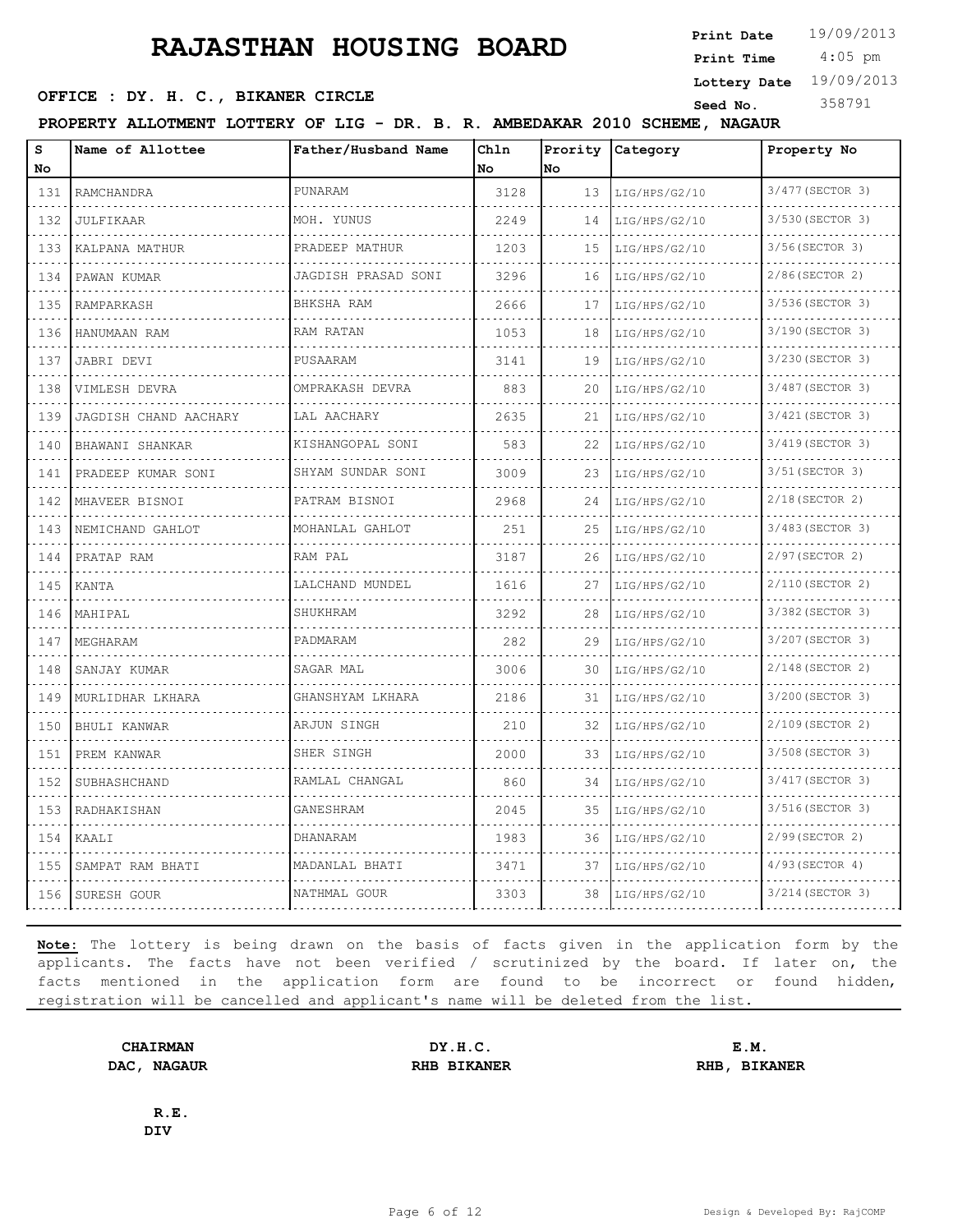4:05 pm **Print Date**  $19/09/2013$ **Print Time Lottery Date** 19/09/2013

**SEED OFFICE : DY. H. C., BIKANER CIRCLE Seed No.** 358791

**PROPERTY ALLOTMENT LOTTERY OF LIG - DR. B. R. AMBEDAKAR 2010 SCHEME, NAGAUR**

| S<br>No                                                                                                                          | Name of Allottee      | Father/Husband Name             | Chln<br>No | Prority<br>No | Category           | Property No                  |
|----------------------------------------------------------------------------------------------------------------------------------|-----------------------|---------------------------------|------------|---------------|--------------------|------------------------------|
| 131                                                                                                                              | RAMCHANDRA            | PUNARAM                         | 3128       | 13            | LIG/HPS/G2/10<br>. | 3/477 (SECTOR 3)             |
| .<br>132                                                                                                                         | JULFIKAAR             | MOH. YUNUS                      | 2249       | 14            | LIG/HPS/G2/10      | .<br>3/530 (SECTOR 3)        |
| 133                                                                                                                              | KALPANA MATHUR        | PRADEEP MATHUR                  | 1203       | 15            | LIG/HPS/G2/10      | 3/56(SECTOR 3)               |
| 134                                                                                                                              | PAWAN KUMAR           | JAGDISH PRASAD SONI             | 3296       | 16            | LIG/HPS/G2/10      | 2/86(SECTOR 2)               |
| .<br>135                                                                                                                         | RAMPARKASH            | .<br>BHKSHA RAM                 | 2666       | 17            | .<br>LIG/HPS/G2/10 | 3/536 (SECTOR 3)             |
| 136                                                                                                                              | HANUMAAN RAM          | RAM RATAN                       | 1053       | 18            | LIG/HPS/G2/10      | 3/190 (SECTOR 3)             |
| 137                                                                                                                              | JABRI DEVI            | PUSAARAM                        | 3141       | 19            | LIG/HPS/G2/10      | 3/230 (SECTOR 3)             |
| .<br>138                                                                                                                         | VIMLESH DEVRA         | OMPRAKASH DEVRA                 | 883        | 20            | LIG/HPS/G2/10      | .<br>3/487 (SECTOR 3)        |
| 139                                                                                                                              | JAGDISH CHAND AACHARY | LAL AACHARY                     | 2635       | 21            | LIG/HPS/G2/10      | 3/421 (SECTOR 3)             |
| 140                                                                                                                              | BHAWANI SHANKAR       | KISHANGOPAL SONI                | 583        | 22            | LIG/HPS/G2/10      | 3/419 (SECTOR 3)             |
| .<br>141                                                                                                                         | PRADEEP KUMAR SONI    | SHYAM SUNDAR SONI               | 3009       | 23            | LIG/HPS/G2/10      | 3/51 (SECTOR 3)              |
| .<br>142                                                                                                                         | MHAVEER BISNOI        | PATRAM BISNOI                   | 2968       | 24            | LIG/HPS/G2/10      | $2/18$ (SECTOR 2)            |
| $\sim$ $\sim$ $\sim$ $\sim$<br>143                                                                                               | NEMICHAND GAHLOT      | MOHANLAL GAHLOT                 | 251        | 25            | LIG/HPS/G2/10      | 3/483 (SECTOR 3)             |
| 144                                                                                                                              | PRATAP RAM            | RAM PAL                         | 3187       | 26            | LIG/HPS/G2/10      | 2/97(SECTOR 2)               |
| .<br>145                                                                                                                         | KANTA                 | LALCHAND MUNDEL                 | 1616       | 27            | LIG/HPS/G2/10      | 2/110(SECTOR 2)              |
| الماليات المالية<br>146                                                                                                          | MAHIPAL               | SHUKHRAM                        | 3292       | 28            | LIG/HPS/G2/10      | <u>.</u><br>3/382 (SECTOR 3) |
| 147                                                                                                                              | MEGHARAM              | PADMARAM                        | 282        | 29            | LIG/HPS/G2/10      | 3/207 (SECTOR 3)             |
| $\sim$ $\sim$ $\sim$ $\sim$<br>148                                                                                               | SANJAY KUMAR          | SAGAR MAL                       | 3006       | 30            | LIG/HPS/G2/10      | 2/148 (SECTOR 2)             |
| 149                                                                                                                              | MURLIDHAR LKHARA      | and a state<br>GHANSHYAM LKHARA | 2186       | 31            | LIG/HPS/G2/10      | 3/200 (SECTOR 3)             |
| .<br>150                                                                                                                         | BHULI KANWAR          | ARJUN SINGH                     | 210        | 32            | LIG/HPS/G2/10      | 2/109 (SECTOR 2)             |
| $\frac{1}{2} \left( \frac{1}{2} \right) \left( \frac{1}{2} \right) \left( \frac{1}{2} \right) \left( \frac{1}{2} \right)$<br>151 | PREM KANWAR           | SHER SINGH                      | 2000       | 33            | LIG/HPS/G2/10      | 3/508 (SECTOR 3)             |
| 152                                                                                                                              | SUBHASHCHAND          | RAMLAL CHANGAL                  | 860        | 34            | LIG/HPS/G2/10      | 3/417 (SECTOR 3)             |
| 153                                                                                                                              | RADHAKISHAN           | GANESHRAM                       | 2045       | 35            | LIG/HPS/G2/10      | 3/516(SECTOR 3)              |
| $\sim$ $\sim$ $\sim$ $\sim$<br>154                                                                                               | KAALI                 | DHANARAM                        | 1983       | 36            | LIG/HPS/G2/10      | 2/99 (SECTOR 2)              |
| 155                                                                                                                              | SAMPAT RAM BHATI      | MADANLAL BHATI                  | 3471       | 37            | LIG/HPS/G2/10      | $4/93$ (SECTOR 4)            |
| 156                                                                                                                              | SURESH GOUR           | NATHMAL GOUR                    | 3303       | 38            | LIG/HPS/G2/10      | 3/214 (SECTOR 3)             |

**Note:** The lottery is being drawn on the basis of facts given in the application form by the applicants. The facts have not been verified / scrutinized by the board. If later on, the facts mentioned in the application form are found to be incorrect or found hidden, registration will be cancelled and applicant's name will be deleted from the list.

**CHAIRMAN DY.H.C. E.M. DAC, NAGAUR RHB BIKANER RHB, BIKANER**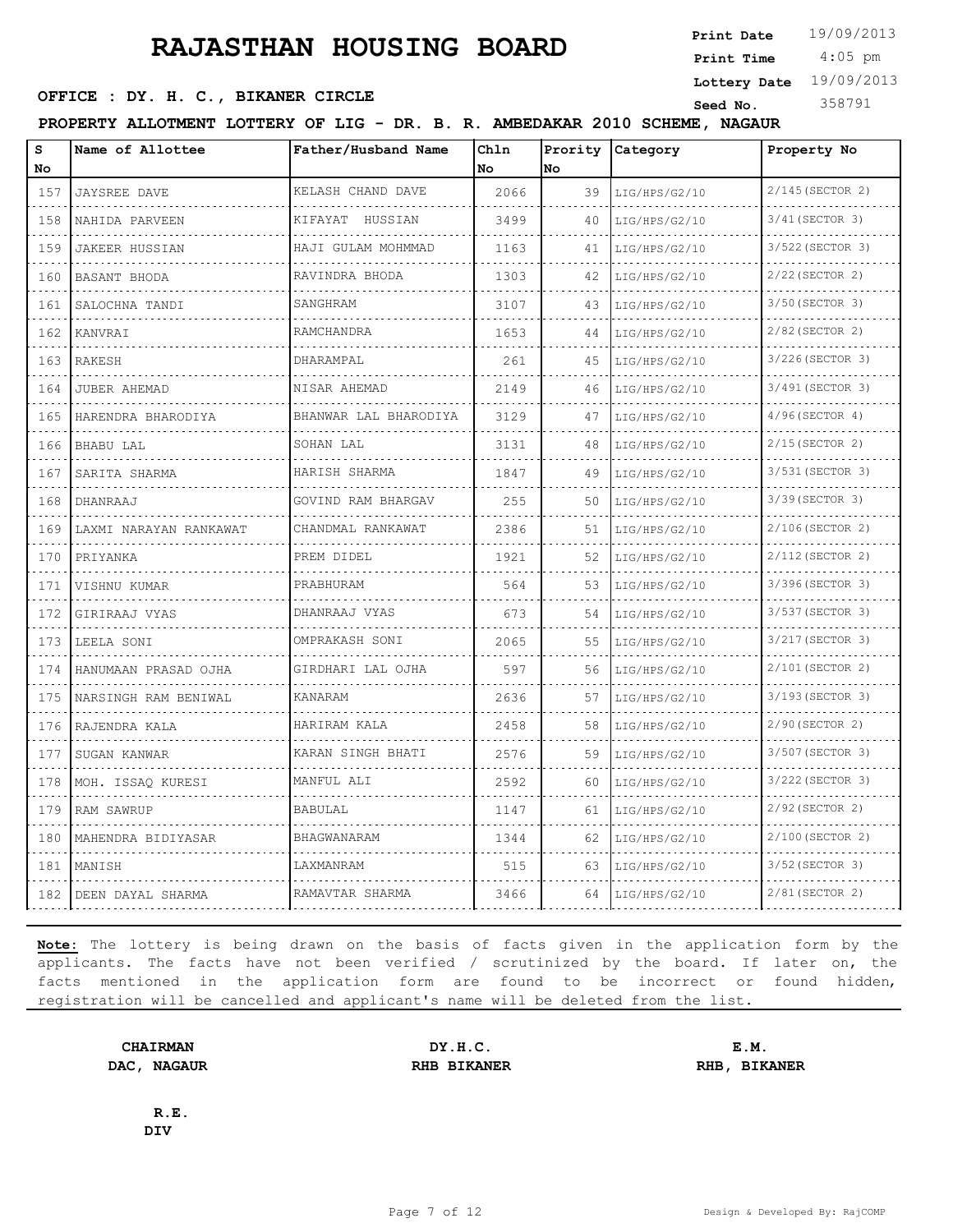4:05 pm **Print Date**  $19/09/2013$ **Print Time**

#### **SEED OFFICE : DY. H. C., BIKANER CIRCLE Seed No.** 358791

**Lottery Date** 19/09/2013

**PROPERTY ALLOTMENT LOTTERY OF LIG - DR. B. R. AMBEDAKAR 2010 SCHEME, NAGAUR**

| S<br>No.                                                                                                                         | Name of Allottee       | Father/Husband Name    | Chln<br>No | Prority<br>No | Category      | Property No       |
|----------------------------------------------------------------------------------------------------------------------------------|------------------------|------------------------|------------|---------------|---------------|-------------------|
| 157                                                                                                                              | <b>JAYSREE DAVE</b>    | KELASH CHAND DAVE      | 2066       | 39            | LIG/HPS/G2/10 | 2/145 (SECTOR 2)  |
| .<br>158                                                                                                                         | NAHIDA PARVEEN         | KIFAYAT HUSSIAN        | 3499       | 40            | LIG/HPS/G2/10 | 3/41 (SECTOR 3)   |
| $\sim$ $\sim$ $\sim$<br>159                                                                                                      | JAKEER HUSSIAN         | HAJI GULAM MOHMMAD     | 1163       | 41            | LIG/HPS/G2/10 | 3/522 (SECTOR 3)  |
| 160                                                                                                                              | BASANT BHODA           | RAVINDRA BHODA         | 1303       | 42            | LIG/HPS/G2/10 | 2/22 (SECTOR 2)   |
| .<br>161                                                                                                                         | SALOCHNA TANDI         | SANGHRAM               | 3107       | 43            | LIG/HPS/G2/10 | 3/50 (SECTOR 3)   |
| 162                                                                                                                              | KANVRAI                | RAMCHANDRA             | 1653       | 44            | LIG/HPS/G2/10 | 2/82 (SECTOR 2)   |
| 163                                                                                                                              | RAKESH                 | DHARAMPAL              | 261        | 45            | LIG/HPS/G2/10 | 3/226 (SECTOR 3)  |
| $\sim 100$ km s $^{-1}$<br>164                                                                                                   | <b>JUBER AHEMAD</b>    | NISAR AHEMAD           | 2149       | 46            | LIG/HPS/G2/10 | 3/491 (SECTOR 3)  |
| 165                                                                                                                              | HARENDRA BHARODIYA     | BHANWAR LAL BHARODIYA  | 3129       | 47            | LIG/HPS/G2/10 | $4/96$ (SECTOR 4) |
| .<br>166                                                                                                                         | BHABU LAL              | SOHAN LAL              | 3131       | 48            | LIG/HPS/G2/10 | $2/15$ (SECTOR 2) |
| .<br>167                                                                                                                         | SARITA SHARMA          | HARISH SHARMA          | 1847       | 49            | LIG/HPS/G2/10 | 3/531 (SECTOR 3)  |
| 168                                                                                                                              | DHANRAAJ               | GOVIND RAM BHARGAV     | 255        | 50            | LIG/HPS/G2/10 | 3/39 (SECTOR 3)   |
| 169                                                                                                                              | LAXMI NARAYAN RANKAWAT | .<br>CHANDMAL RANKAWAT | 2386       | 51            | LIG/HPS/G2/10 | 2/106(SECTOR 2)   |
| 170                                                                                                                              | PRIYANKA               | PREM DIDEL             | 1921       | 52            | LIG/HPS/G2/10 | 2/112 (SECTOR 2)  |
| 171                                                                                                                              | VISHNU KUMAR           | PRABHURAM              | 564        | 53            | LIG/HPS/G2/10 | 3/396 (SECTOR 3)  |
| .<br>172                                                                                                                         | GIRIRAAJ VYAS          | DHANRAAJ VYAS          | 673        | 54            | LIG/HPS/G2/10 | 3/537 (SECTOR 3)  |
| 173                                                                                                                              | LEELA SONI             | OMPRAKASH SONI         | 2065       | 55            | LIG/HPS/G2/10 | 3/217 (SECTOR 3)  |
| .<br>174                                                                                                                         | HANUMAAN PRASAD OJHA   | GIRDHARI LAL OJHA      | 597        | 56            | LIG/HPS/G2/10 | 2/101(SECTOR 2)   |
| 175                                                                                                                              | NARSINGH RAM BENIWAL   | KANARAM                | 2636       | 57            | LIG/HPS/G2/10 | 3/193 (SECTOR 3)  |
| 176                                                                                                                              | RAJENDRA KALA          | HARIRAM KALA           | 2458       | 58            | LIG/HPS/G2/10 | 2/90 (SECTOR 2)   |
| 177                                                                                                                              | SUGAN KANWAR           | KARAN SINGH BHATI      | 2576       | 59            | LIG/HPS/G2/10 | 3/507 (SECTOR 3)  |
| 178                                                                                                                              | MOH. ISSAQ KURESI      | MANFUL ALI             | 2592       | 60            | LIG/HPS/G2/10 | 3/222 (SECTOR 3)  |
| 179                                                                                                                              | RAM SAWRUP             | <b>BABULAL</b>         | 1147       | 61            | LIG/HPS/G2/10 | 2/92 (SECTOR 2)   |
| $\frac{1}{2} \left( \frac{1}{2} \right) \left( \frac{1}{2} \right) \left( \frac{1}{2} \right) \left( \frac{1}{2} \right)$<br>180 | MAHENDRA BIDIYASAR     | BHAGWANARAM            | 1344       | 62            | LIG/HPS/G2/10 | 2/100 (SECTOR 2)  |
| 181                                                                                                                              | MANISH                 | LAXMANRAM              | 515        | 63            | LIG/HPS/G2/10 | 3/52 (SECTOR 3)   |
| 182                                                                                                                              | DEEN DAYAL SHARMA      | RAMAVTAR SHARMA        | 3466       | 64            | LIG/HPS/G2/10 | 2/81 (SECTOR 2)   |

**Note:** The lottery is being drawn on the basis of facts given in the application form by the applicants. The facts have not been verified / scrutinized by the board. If later on, the facts mentioned in the application form are found to be incorrect or found hidden, registration will be cancelled and applicant's name will be deleted from the list.

**CHAIRMAN DY.H.C. E.M. DAC, NAGAUR RHB BIKANER RHB, BIKANER**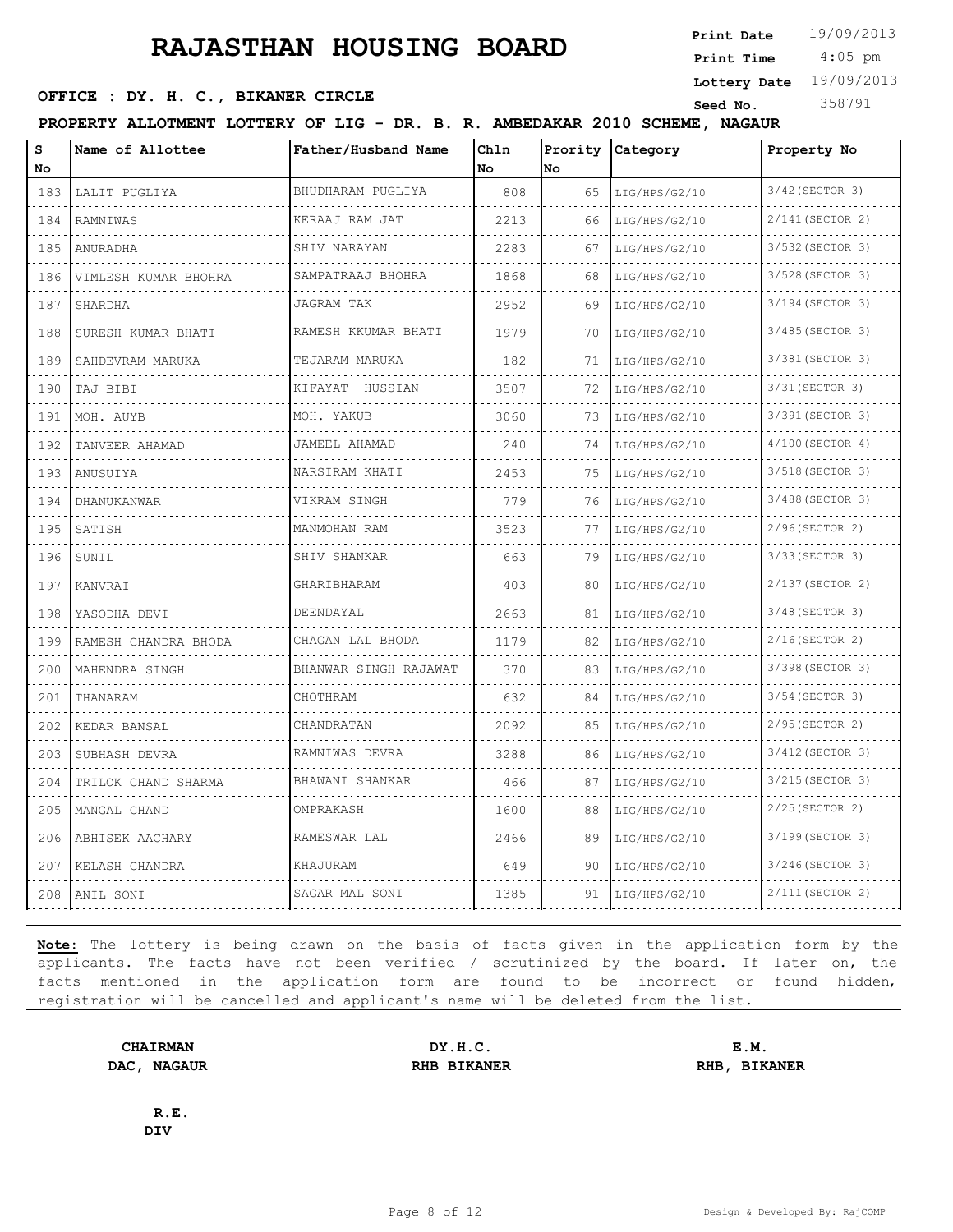4:05 pm **Print Date**  $19/09/2013$ **Print Time**

#### **SEED OFFICE : DY. H. C., BIKANER CIRCLE Seed No.** 358791

**Lottery Date** 19/09/2013

**PROPERTY ALLOTMENT LOTTERY OF LIG - DR. B. R. AMBEDAKAR 2010 SCHEME, NAGAUR**

| S<br>No                                                                                                                                                     | Name of Allottee     | Father/Husband Name   | Chln<br>No | Prority<br>No | Category           | Property No           |
|-------------------------------------------------------------------------------------------------------------------------------------------------------------|----------------------|-----------------------|------------|---------------|--------------------|-----------------------|
| 183                                                                                                                                                         | LALIT PUGLIYA        | BHUDHARAM PUGLIYA     | 808        | 65            | LIG/HPS/G2/10      | 3/42 (SECTOR 3)       |
| .<br>184                                                                                                                                                    | RAMNIWAS             | .<br>KERAAJ RAM JAT   | 2213       | 66            | .<br>LIG/HPS/G2/10 | 2/141 (SECTOR 2)      |
| 185                                                                                                                                                         | ANURADHA             | SHIV NARAYAN          | 2283       | 67            | LIG/HPS/G2/10      | 3/532 (SECTOR 3)      |
| 186                                                                                                                                                         | VIMLESH KUMAR BHOHRA | SAMPATRAAJ BHOHRA     | 1868       | 68            | LIG/HPS/G2/10      | 3/528 (SECTOR 3)      |
| .<br>187                                                                                                                                                    | SHARDHA              | JAGRAM TAK            | 2952       | 69            | LIG/HPS/G2/10      | .<br>3/194 (SECTOR 3) |
| 188                                                                                                                                                         | SURESH KUMAR BHATI   | RAMESH KKUMAR BHATI   | 1979       | 70            | LIG/HPS/G2/10      | 3/485 (SECTOR 3)      |
| .<br>189                                                                                                                                                    | SAHDEVRAM MARUKA     | TEJARAM MARUKA<br>.   | 182        | 71            | LIG/HPS/G2/10      | 3/381 (SECTOR 3)<br>. |
| .<br>190                                                                                                                                                    | TAJ BIBI             | KIFAYAT HUSSIAN       | 3507       | 72            | LIG/HPS/G2/10      | 3/31 (SECTOR 3)       |
| 191                                                                                                                                                         | MOH. AUYB            | MOH. YAKUB            | 3060       | 73            | LIG/HPS/G2/10      | 3/391 (SECTOR 3)      |
| 192                                                                                                                                                         | TANVEER AHAMAD       | JAMEEL AHAMAD         | 240        | 74            | LIG/HPS/G2/10      | $4/100$ (SECTOR 4)    |
| 193                                                                                                                                                         | ANUSUIYA             | NARSIRAM KHATI        | 2453       | 75            | LIG/HPS/G2/10      | 3/518 (SECTOR 3)      |
| $\frac{1}{2} \left( \frac{1}{2} \right) \left( \frac{1}{2} \right) \left( \frac{1}{2} \right) \left( \frac{1}{2} \right) \left( \frac{1}{2} \right)$<br>194 | DHANUKANWAR          | VIKRAM SINGH          | 779        | 76            | LIG/HPS/G2/10      | 3/488 (SECTOR 3)      |
| .<br>195                                                                                                                                                    | SATISH               | MANMOHAN RAM          | 3523       | 77            | LIG/HPS/G2/10      | .<br>2/96(SECTOR 2)   |
| 196                                                                                                                                                         | SUNIL                | SHIV SHANKAR          | 663        | 79            | LIG/HPS/G2/10      | 3/33 (SECTOR 3)       |
| الدائد الدائد<br>197                                                                                                                                        | KANVRAI              | GHARIBHARAM           | 403        | 80            | LIG/HPS/G2/10      | 2/137 (SECTOR 2)      |
| 198                                                                                                                                                         | YASODHA DEVI         | DEENDAYAL             | 2663       | 81            | LIG/HPS/G2/10      | 3/48 (SECTOR 3)       |
| 199                                                                                                                                                         | RAMESH CHANDRA BHODA | CHAGAN LAL BHODA      | 1179       | 82            | LIG/HPS/G2/10      | 2/16(SECTOR 2)        |
| 200                                                                                                                                                         | MAHENDRA SINGH       | BHANWAR SINGH RAJAWAT | 370        | 83            | LIG/HPS/G2/10      | 3/398 (SECTOR 3)      |
| 201                                                                                                                                                         | THANARAM             | CHOTHRAM              | 632        | 84            | LIG/HPS/G2/10      | 3/54 (SECTOR 3)       |
| 202                                                                                                                                                         | KEDAR BANSAL         | CHANDRATAN            | 2092       | 85            | LIG/HPS/G2/10      | 2/95 (SECTOR 2)       |
| $  -$<br>203                                                                                                                                                | SUBHASH DEVRA        | RAMNIWAS DEVRA        | 3288       | 86            | LIG/HPS/G2/10      | 3/412 (SECTOR 3)      |
| 204                                                                                                                                                         | TRILOK CHAND SHARMA  | BHAWANI SHANKAR       | 466        | 87            | LIG/HPS/G2/10      | 3/215 (SECTOR 3)      |
| 205                                                                                                                                                         | MANGAL CHAND         | OMPRAKASH             | 1600       | 88            | LIG/HPS/G2/10      | 2/25 (SECTOR 2)       |
| 206                                                                                                                                                         | ABHISEK AACHARY      | RAMESWAR LAL          | 2466       | 89            | LIG/HPS/G2/10      | 3/199 (SECTOR 3)      |
| 207                                                                                                                                                         | KELASH CHANDRA       | KHAJURAM              | 649        | 90            | LIG/HPS/G2/10      | 3/246 (SECTOR 3)      |
| 208                                                                                                                                                         | ANIL SONI            | SAGAR MAL SONI        | 1385       | 91            | LIG/HPS/G2/10      | 2/111 (SECTOR 2)      |

**Note:** The lottery is being drawn on the basis of facts given in the application form by the applicants. The facts have not been verified / scrutinized by the board. If later on, the facts mentioned in the application form are found to be incorrect or found hidden, registration will be cancelled and applicant's name will be deleted from the list.

**CHAIRMAN DY.H.C. E.M. DAC, NAGAUR RHB BIKANER RHB, BIKANER**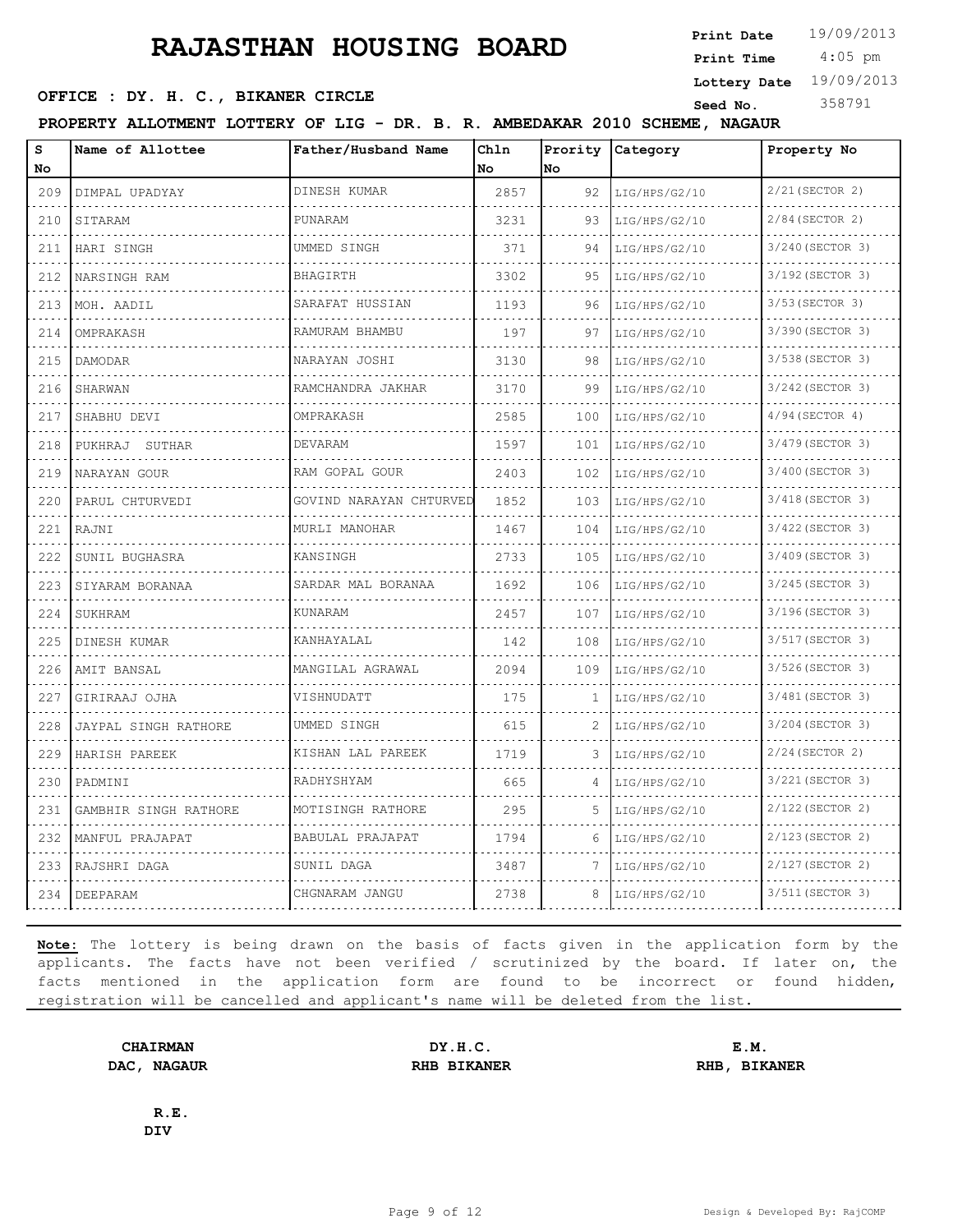**SEED OFFICE : DY. H. C., BIKANER CIRCLE Seed No.** 358791

**Print Time**

 4:05 pm **Print Date**  $19/09/2013$ 

**Lottery Date** 19/09/2013

**PROPERTY ALLOTMENT LOTTERY OF LIG - DR. B. R. AMBEDAKAR 2010 SCHEME, NAGAUR**

| s<br>No | Name of Allottee      | Father/Husband Name     | Chln<br>No | Prority<br>lNo. | Category           | Property No         |
|---------|-----------------------|-------------------------|------------|-----------------|--------------------|---------------------|
| 209     | DIMPAL UPADYAY        | DINESH KUMAR            | 2857       | 92              | LIG/HPS/G2/10      | 2/21 (SECTOR 2)     |
| 210     | SITARAM               | PUNARAM                 | 3231       | 93              | .<br>LIG/HPS/G2/10 | .<br>2/84(SECTOR 2) |
| 211     | HARI SINGH            | UMMED SINGH             | 371        | 94              | LIG/HPS/G2/10      | 3/240 (SECTOR 3)    |
| 212     | NARSINGH RAM          | BHAGIRTH                | 3302       | 95              | LIG/HPS/G2/10      | 3/192 (SECTOR 3)    |
| 213     | MOH. AADIL            | SARAFAT HUSSIAN         | 1193       | 96              | LIG/HPS/G2/10      | 3/53 (SECTOR 3)     |
| 214     | OMPRAKASH             | RAMURAM BHAMBU          | 197        | 97              | LIG/HPS/G2/10      | 3/390 (SECTOR 3)    |
| 215     | DAMODAR               | NARAYAN JOSHI           | 3130       | 98              | LIG/HPS/G2/10      | 3/538 (SECTOR 3)    |
| 216     | SHARWAN               | .<br>RAMCHANDRA JAKHAR  | 3170       | 99              | LIG/HPS/G2/10      | 3/242 (SECTOR 3)    |
| 217     | SHABHU DEVI           | OMPRAKASH               | 2585       | 100             | LIG/HPS/G2/10      | $4/94$ (SECTOR 4)   |
| 218     | PUKHRAJ SUTHAR        | DEVARAM                 | 1597       | 101             | LIG/HPS/G2/10      | 3/479 (SECTOR 3)    |
| 219     | NARAYAN GOUR          | RAM GOPAL GOUR          | 2403       | 102             | LIG/HPS/G2/10      | 3/400 (SECTOR 3)    |
| 220     | PARUL CHTURVEDI       | GOVIND NARAYAN CHTURVED | 1852       | 103             | LIG/HPS/G2/10      | 3/418 (SECTOR 3)    |
| 221     | RAJNI                 | MURLI MANOHAR           | 1467       | 104             | LIG/HPS/G2/10      | 3/422 (SECTOR 3)    |
| 222     | SUNIL BUGHASRA        | KANSINGH                | 2733       | 105             | LIG/HPS/G2/10      | 3/409 (SECTOR 3)    |
| 223     | SIYARAM BORANAA       | SARDAR MAL BORANAA      | 1692       | 106             | LIG/HPS/G2/10      | 3/245(SECTOR 3)     |
| 224     | SUKHRAM               | KUNARAM                 | 2457       | 107             | LIG/HPS/G2/10      | 3/196 (SECTOR 3)    |
| 225     | DINESH KUMAR          | KANHAYALAL              | 142        | 108             | LIG/HPS/G2/10      | 3/517 (SECTOR 3)    |
| 226     | AMIT BANSAL           | MANGILAL AGRAWAL        | 2094       | 109             | LIG/HPS/G2/10      | 3/526(SECTOR 3)     |
| 227     | GIRIRAAJ OJHA         | VISHNUDATT              | 175        | 1               | LIG/HPS/G2/10      | 3/481 (SECTOR 3)    |
| 228     | JAYPAL SINGH RATHORE  | UMMED SINGH             | 615        | 2               | LIG/HPS/G2/10      | 3/204 (SECTOR 3)    |
| 229     | HARISH PAREEK         | KISHAN LAL PAREEK       | 1719       |                 | LIG/HPS/G2/10      | $2/24$ (SECTOR 2)   |
| 230     | PADMINI               | RADHYSHYAM              | 665        | 4               | LIG/HPS/G2/10      | 3/221 (SECTOR 3)    |
| 231     | GAMBHIR SINGH RATHORE | MOTISINGH RATHORE       | 295        | 5               | LIG/HPS/G2/10      | 2/122 (SECTOR 2)    |
| 232     | MANFUL PRAJAPAT       | BABULAL PRAJAPAT        | 1794       | 6               | LIG/HPS/G2/10      | 2/123 (SECTOR 2)    |
| 233     | RAJSHRI DAGA          | SUNIL DAGA              | 3487       | 7               | LIG/HPS/G2/10      | 2/127 (SECTOR 2)    |
| 234     | DEEPARAM              | CHGNARAM JANGU          | 2738       | 8               | LIG/HPS/G2/10      | 3/511 (SECTOR 3)    |

**Note:** The lottery is being drawn on the basis of facts given in the application form by the applicants. The facts have not been verified / scrutinized by the board. If later on, the facts mentioned in the application form are found to be incorrect or found hidden, registration will be cancelled and applicant's name will be deleted from the list.

**CHAIRMAN DY.H.C. E.M. DAC, NAGAUR RHB BIKANER RHB, BIKANER**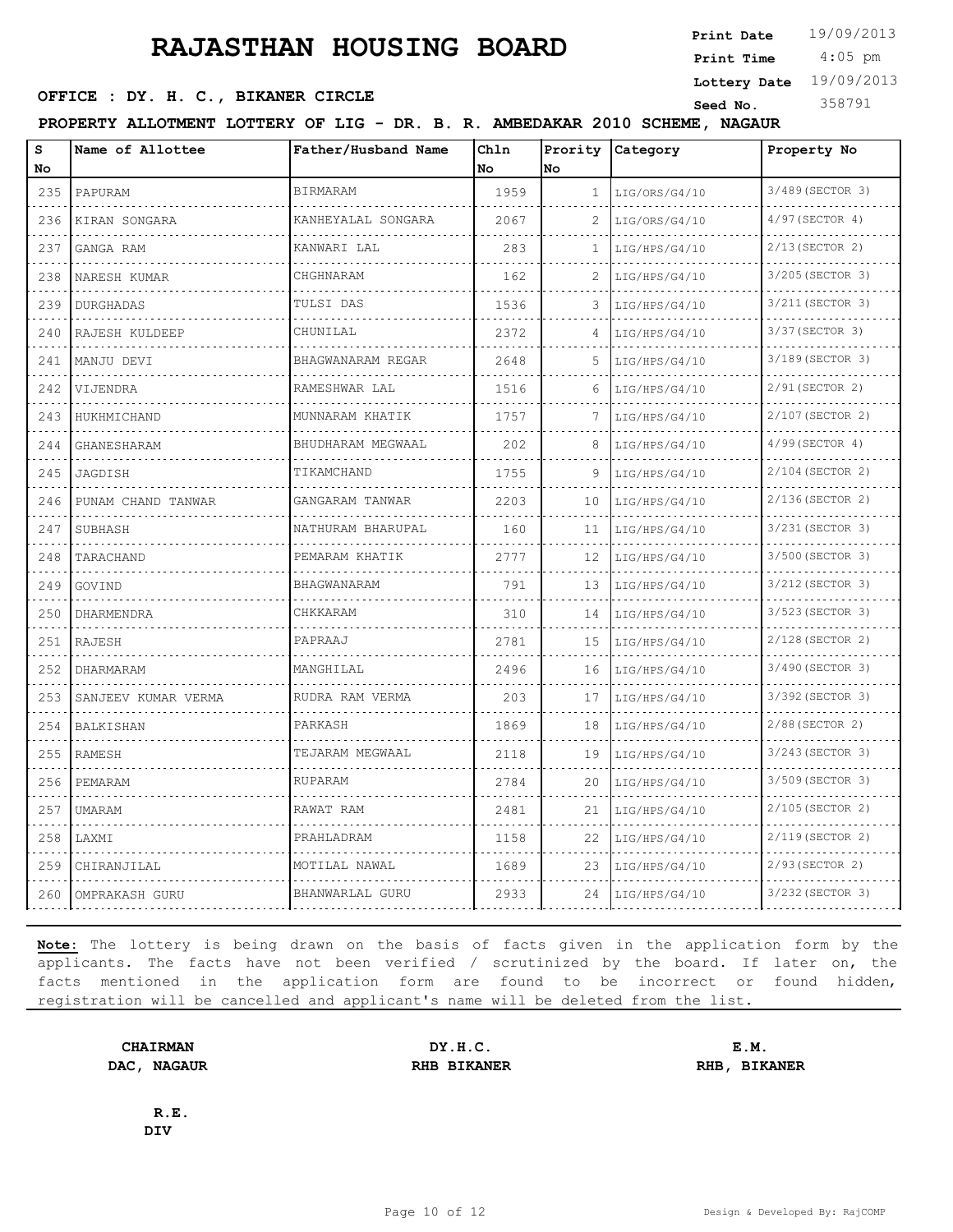4:05 pm **Print Date**  $19/09/2013$ **Print Time**

**Lottery Date** 19/09/2013

#### **SEED OFFICE : DY. H. C., BIKANER CIRCLE Seed No.** 358791

**PROPERTY ALLOTMENT LOTTERY OF LIG - DR. B. R. AMBEDAKAR 2010 SCHEME, NAGAUR**

| s<br>No      | Name of Allottee    | Father/Husband Name | Chln<br>No. | Prority<br>No | Category      | Property No           |
|--------------|---------------------|---------------------|-------------|---------------|---------------|-----------------------|
| 235          | PAPURAM             | <b>BIRMARAM</b>     | 1959        | $\mathbf{1}$  | LIG/ORS/G4/10 | 3/489 (SECTOR 3)      |
| 236          | KIRAN SONGARA       | KANHEYALAL SONGARA  | 2067        | 2             | LIG/ORS/G4/10 | $4/97$ (SECTOR 4)     |
| 237          | GANGA RAM           | KANWARI LAL         | 283         | 1             | LIG/HPS/G4/10 | 2/13 (SECTOR 2)       |
| 238          | NARESH KUMAR        | CHGHNARAM           | 162         | 2             | LIG/HPS/G4/10 | 3/205 (SECTOR 3)      |
| 239          | <b>DURGHADAS</b>    | TULSI DAS           | 1536        | 3             | LIG/HPS/G4/10 | 3/211 (SECTOR 3)      |
| 240          | RAJESH KULDEEP      | CHUNILAL            | 2372        | 4             | LIG/HPS/G4/10 | 3/37 (SECTOR 3)       |
| 241          | MANJU DEVI          | BHAGWANARAM REGAR   | 2648        | 5.            | LIG/HPS/G4/10 | 3/189 (SECTOR 3)      |
| 242          | VIJENDRA            | RAMESHWAR LAL       | 1516        | 6             | LIG/HPS/G4/10 | 2/91 (SECTOR 2)       |
| 243          | HUKHMICHAND         | MUNNARAM KHATIK     | 1757        | 7             | LIG/HPS/G4/10 | 2/107 (SECTOR 2)      |
| 244          | GHANESHARAM         | BHUDHARAM MEGWAAL   | 202         | 8             | LIG/HPS/G4/10 | 4/99(SECTOR 4)        |
| 245          | JAGDISH             | TIKAMCHAND          | 1755        | 9             | LIG/HPS/G4/10 | 2/104 (SECTOR 2)      |
| 246          | PUNAM CHAND TANWAR  | GANGARAM TANWAR     | 2203        | 10            | LIG/HPS/G4/10 | 2/136(SECTOR 2)       |
| 247          | SUBHASH             | NATHURAM BHARUPAL   | 160         | 11            | LIG/HPS/G4/10 | 3/231 (SECTOR 3)      |
| 248          | .<br>TARACHAND      | .<br>PEMARAM KHATIK | 2777        | 12            | LIG/HPS/G4/10 | .<br>3/500 (SECTOR 3) |
| 249          | GOVIND              | BHAGWANARAM         | 791         | 13            | LIG/HPS/G4/10 | 3/212 (SECTOR 3)      |
| 250          | DHARMENDRA          | CHKKARAM            | 310         | 14            | LIG/HPS/G4/10 | 3/523 (SECTOR 3)      |
| 251          | RAJESH              | PAPRAAJ             | 2781        | 15            | LIG/HPS/G4/10 | 2/128 (SECTOR 2)      |
| 252          | DHARMARAM           | MANGHILAL           | 2496        | 16            | LIG/HPS/G4/10 | 3/490 (SECTOR 3)      |
| 253          | SANJEEV KUMAR VERMA | RUDRA RAM VERMA     | 203         | 17            | LIG/HPS/G4/10 | 3/392 (SECTOR 3)      |
| 254          | <b>BALKISHAN</b>    | PARKASH             | 1869        | 18            | LIG/HPS/G4/10 | 2/88 (SECTOR 2)       |
| 255          | RAMESH              | TEJARAM MEGWAAL     | 2118        | 19            | LIG/HPS/G4/10 | 3/243 (SECTOR 3)      |
| 256          | PEMARAM             | RUPARAM             | 2784        | 20            | LIG/HPS/G4/10 | 3/509 (SECTOR 3)      |
| $  -$<br>257 | <b>UMARAM</b>       | RAWAT RAM           | 2481        | 21            | LIG/HPS/G4/10 | 2/105 (SECTOR 2)      |
| 258          | LAXMI               | PRAHLADRAM          | 1158        | 22            | LIG/HPS/G4/10 | 2/119 (SECTOR 2)      |
| 259          | CHIRANJILAL         | MOTILAL NAWAL       | 1689        | 23            | LIG/HPS/G4/10 | 2/93 (SECTOR 2)       |
| 260          | OMPRAKASH GURU      | BHANWARLAL GURU     | 2933        | 24            | LIG/HPS/G4/10 | 3/232 (SECTOR 3)      |

**Note:** The lottery is being drawn on the basis of facts given in the application form by the applicants. The facts have not been verified / scrutinized by the board. If later on, the facts mentioned in the application form are found to be incorrect or found hidden, registration will be cancelled and applicant's name will be deleted from the list.

**CHAIRMAN DY.H.C. E.M. DAC, NAGAUR RHB BIKANER RHB, BIKANER**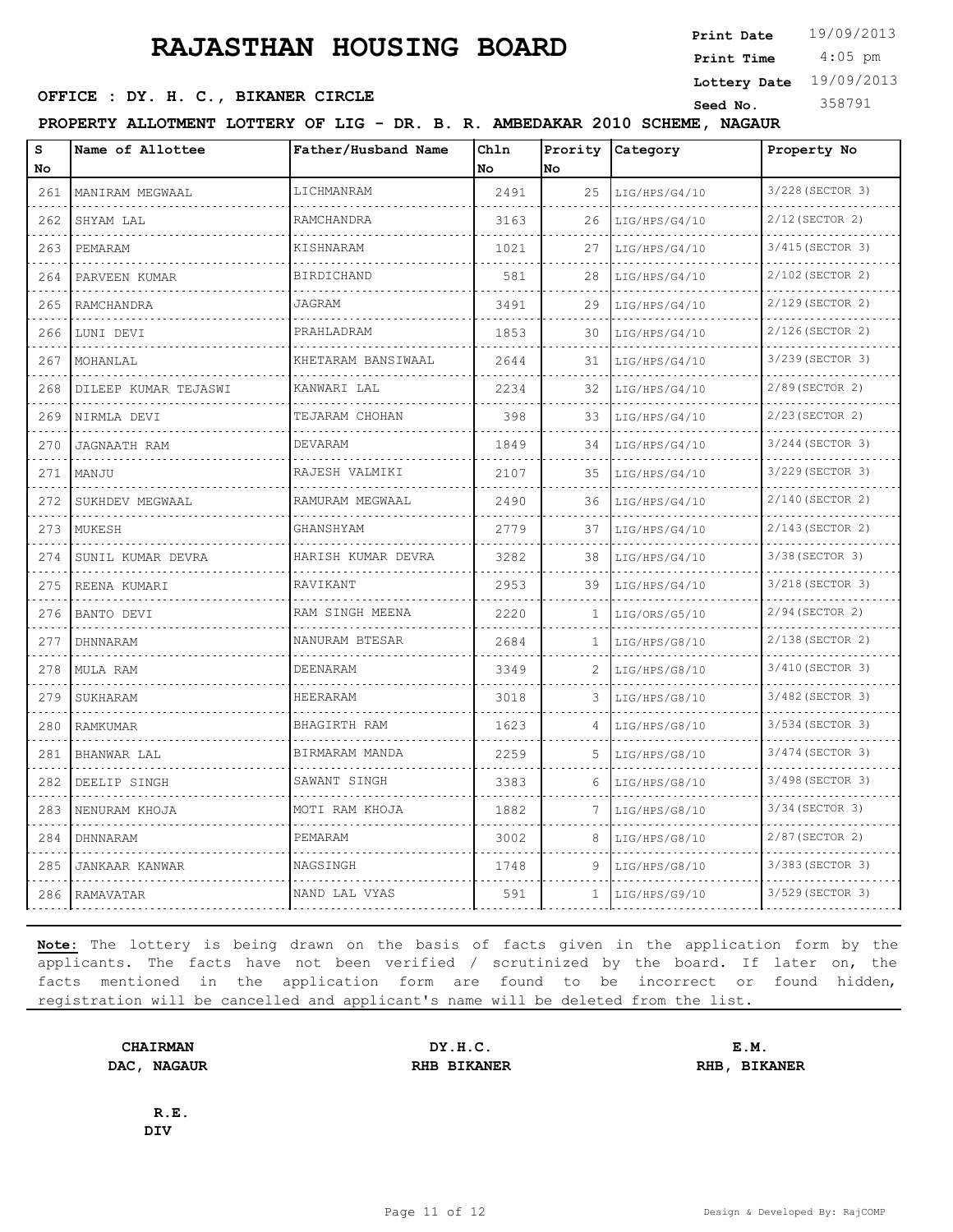4:05 pm **Print Time**

**SEED OFFICE : DY. H. C., BIKANER CIRCLE Seed No.** 358791

**Lottery Date** 19/09/2013

**PROPERTY ALLOTMENT LOTTERY OF LIG - DR. B. R. AMBEDAKAR 2010 SCHEME, NAGAUR**

| S<br>No                               | Name of Allottee      | Father/Husband Name | Ch1n<br>No | Prority<br>No | Category      | Property No           |
|---------------------------------------|-----------------------|---------------------|------------|---------------|---------------|-----------------------|
| 261<br>$\sim$ $\sim$ $\sim$ $\sim$    | MANIRAM MEGWAAL       | LICHMANRAM          | 2491       | 25            | LIG/HPS/G4/10 | 3/228 (SECTOR 3)      |
| 262                                   | SHYAM LAL             | RAMCHANDRA          | 3163       | 26            | LIG/HPS/G4/10 | $2/12$ (SECTOR 2)     |
| 263                                   | PEMARAM               | KISHNARAM           | 1021       | 27            | LIG/HPS/G4/10 | 3/415 (SECTOR 3)      |
| 264                                   | PARVEEN KUMAR         | <b>BIRDICHAND</b>   | 581        | 28            | LIG/HPS/G4/10 | 2/102 (SECTOR 2)      |
| .<br>265                              | RAMCHANDRA            | JAGRAM              | 3491       | 29            | LIG/HPS/G4/10 | 2/129 (SECTOR 2)      |
| 266                                   | LUNI DEVI             | PRAHLADRAM          | 1853       | 30            | LIG/HPS/G4/10 | 2/126(SECTOR 2)       |
| 267                                   | MOHANLAL              | KHETARAM BANSIWAAL  | 2644       | 31            | LIG/HPS/G4/10 | 3/239 (SECTOR 3)<br>. |
| $\omega$ , $\omega$ , $\omega$<br>268 | DILEEP KUMAR TEJASWI  | KANWARI LAL         | 2234       | 32            | LIG/HPS/G4/10 | 2/89 (SECTOR 2)       |
| 269                                   | NIRMLA DEVI           | TEJARAM CHOHAN      | 398        | 33            | LIG/HPS/G4/10 | 2/23(SECTOR 2)        |
| 270                                   | <b>JAGNAATH RAM</b>   | DEVARAM             | 1849       | 34            | LIG/HPS/G4/10 | 3/244 (SECTOR 3)      |
| $\sim$ $\sim$ $\sim$ $\sim$<br>271    | MANJU                 | RAJESH VALMIKI      | 2107       | 35            | LIG/HPS/G4/10 | 3/229 (SECTOR 3)      |
| 272                                   | SUKHDEV MEGWAAL       | RAMURAM MEGWAAL     | 2490       | 36            | LIG/HPS/G4/10 | 2/140 (SECTOR 2)      |
| 273                                   | MUKESH                | GHANSHYAM           | 2779       | 37            | LIG/HPS/G4/10 | 2/143 (SECTOR 2)<br>. |
| .<br>274                              | SUNIL KUMAR DEVRA     | HARISH KUMAR DEVRA  | 3282       | 38            | LIG/HPS/G4/10 | 3/38 (SECTOR 3)       |
| 275                                   | REENA KUMARI          | RAVIKANT            | 2953       | 39            | LIG/HPS/G4/10 | 3/218 (SECTOR 3)      |
| 276                                   | BANTO DEVI            | RAM SINGH MEENA     | 2220       | 1.            | LIG/ORS/G5/10 | 2/94 (SECTOR 2)       |
| .<br>277                              | DHNNARAM              | NANURAM BTESAR      | 2684       | 1             | LIG/HPS/G8/10 | 2/138 (SECTOR 2)      |
| $\cdots$<br>278                       | MULA RAM              | DEENARAM            | 3349       | 2             | LIG/HPS/G8/10 | 3/410 (SECTOR 3)      |
| 279                                   | SUKHARAM              | HEERARAM            | 3018       | 3             | LIG/HPS/G8/10 | 3/482 (SECTOR 3)      |
| 280                                   | RAMKUMAR              | BHAGIRTH RAM        | 1623       | 4             | LIG/HPS/G8/10 | 3/534 (SECTOR 3)      |
| 281                                   | BHANWAR LAL           | BIRMARAM MANDA      | 2259       | .5            | LIG/HPS/G8/10 | 3/474 (SECTOR 3)      |
| 282                                   | DEELIP SINGH          | SAWANT SINGH        | 3383       | 6             | LIG/HPS/G8/10 | 3/498 (SECTOR 3)      |
| 283                                   | NENURAM KHOJA         | MOTI RAM KHOJA      | 1882       | 7             | LIG/HPS/G8/10 | 3/34 (SECTOR 3)       |
| 284                                   | DHNNARAM              | PEMARAM             | 3002       | 8             | LIG/HPS/G8/10 | 2/87(SECTOR 2)        |
| 285                                   | <b>JANKAAR KANWAR</b> | NAGSINGH            | 1748       | 9             | LIG/HPS/G8/10 | 3/383 (SECTOR 3)      |
| 286                                   | RAMAVATAR             | NAND LAL VYAS       | 591        | $\mathbf{1}$  | LIG/HPS/G9/10 | 3/529 (SECTOR 3)      |

**Note:** The lottery is being drawn on the basis of facts given in the application form by the applicants. The facts have not been verified / scrutinized by the board. If later on, the facts mentioned in the application form are found to be incorrect or found hidden, registration will be cancelled and applicant's name will be deleted from the list.

**CHAIRMAN DY.H.C. E.M. DAC, NAGAUR RHB BIKANER RHB, BIKANER**